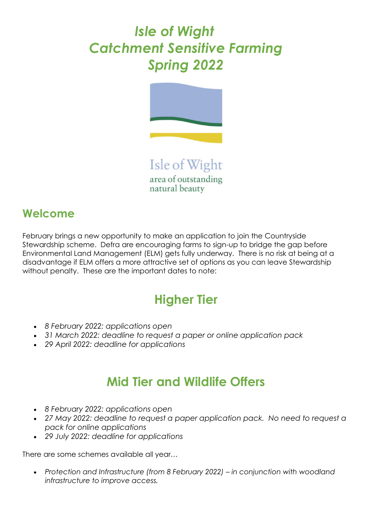# *Isle of Wight Catchment Sensitive Farming Spring 2022*



Isle of Wight area of outstanding natural beauty

#### **Welcome**

February brings a new opportunity to make an application to join the Countryside Stewardship scheme. Defra are encouraging farms to sign-up to bridge the gap before Environmental Land Management (ELM) gets fully underway. There is no risk at being at a disadvantage if ELM offers a more attractive set of options as you can leave Stewardship without penalty. These are the important dates to note:

## **Higher Tier**

- *8 February 2022: applications open*
- *31 March 2022: deadline to request a paper or online application pack*
- *29 April 2022: deadline for applications*

#### **Mid Tier and Wildlife Offers**

- *8 February 2022: applications open*
- *27 May 2022: deadline to request a paper application pack. No need to request a pack for online applications*
- *29 July 2022: deadline for applications*

There are some schemes available all year…

• *Protection and Infrastructure (from 8 February 2022) – in conjunction with woodland infrastructure to improve access.*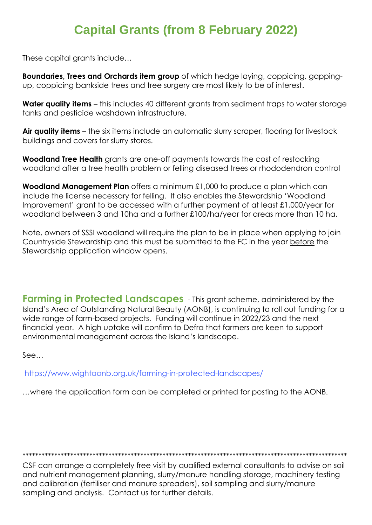### **Capital Grants (from 8 February 2022)**

These capital grants include...

**Boundaries, Trees and Orchards item group** of which hedge laying, coppicing, gappingup, coppicing bankside trees and tree surgery are most likely to be of interest.

Water quality items - this includes 40 different grants from sediment traps to water storage tanks and pesticide washdown infrastructure.

Air quality items – the six items include an automatic slurry scraper, flooring for livestock buildings and covers for slurry stores.

**Woodland Tree Health** grants are one-off payments towards the cost of restocking woodland after a tree health problem or felling diseased trees or rhododendron control

**Woodland Management Plan** offers a minimum £1,000 to produce a plan which can include the license necessary for felling. It also enables the Stewardship 'Woodland Improvement' grant to be accessed with a further payment of at least £1,000/year for woodland between 3 and 10ha and a further £100/ha/year for areas more than 10 ha.

Note, owners of SSSI woodland will require the plan to be in place when applying to join Countryside Stewardship and this must be submitted to the FC in the year before the Stewardship application window opens.

**Farming in Protected Landscapes** - This grant scheme, administered by the Island's Area of Outstanding Natural Beauty (AONB), is continuing to roll out funding for a wide range of farm-based projects. Funding will continue in 2022/23 and the next financial year. A high uptake will confirm to Defra that farmers are keen to support environmental management across the Island's landscape.

 $See...$ 

https://www.wightaonb.org.uk/farming-in-protected-landscapes/

... where the application form can be completed or printed for posting to the AONB.

CSF can arrange a completely free visit by qualified external consultants to advise on soil and nutrient management planning, slurry/manure handling storage, machinery testing and calibration (fertiliser and manure spreaders), soil sampling and slurry/manure sampling and analysis. Contact us for further details.